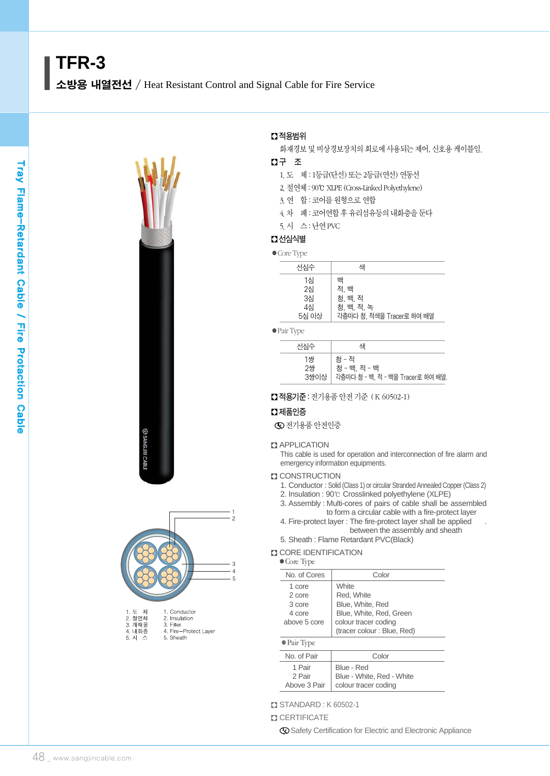



| 2. 절연체 | 2. Insulation        |
|--------|----------------------|
| 3. 개재물 | 3. Filler            |
| 4. 내화층 | 4. Fire-Protect Lave |
| 5. 시 스 | 5. Sheath            |
|        |                      |

## � 적용범위

화재경보 및 비상경보장치의 회로에 사용되는 제어, 신호용 케이블임.

### � 구 조

1.도 체 : 1등급(단선) 또는 2등급(연선) 연동선

- 2.절연체 : 90℃ XLPE (Cross-LinkedPolyethylene)
- 3. 연 합 : 코어를 원형으로 연합
- 4.차 폐 : 코어연합 후 유리섬유등의 내화층을 둔다
- 5.시 스 : 난연PVC

## � 선심식별

● Core Type

| ---- - <i>- 1 -</i> -         |                                                                 |
|-------------------------------|-----------------------------------------------------------------|
| 선심수                           | 샌                                                               |
| 1심<br>2심<br>3심<br>4심<br>5심 이상 | 백<br>적. 백<br>청. 백. 적<br>청. 백. 적. 녹<br>각층마다 청, 적색을 Tracer로 하여 배열 |

●Pair Type

| 선심수              | 샌                                                                |
|------------------|------------------------------------------------------------------|
| 1쌍<br>2쌍<br>3쌍이상 | 청 - 적<br><b>청 - 백 적 - 백</b><br>각층마다 청 - 백, 적 - 백을 Tracer로 하여 배열. |

■ 적용기준 : 전기용품 안전 기준 (K 60502-1)

### $\square$  제품인증

전기용품 안전인증

#### **ZJ APPLICATION**

This cable is used for operation and interconnection of fire alarm and emergency information equipments.

#### **Z CONSTRUCTION**

- 1. Conductor : Solid (Class 1) or circular Stranded Annealed Copper (Class 2)
- 2. Insulation : 90℃ Crosslinked polyethylene (XLPE)
- 3. Assembly : Multi-cores of pairs of cable shall be assembled to form a circular cable with a fire-protect layer
- 4. Fire-protect layer : The fire-protect layer shall be applied . between the assembly and sheath
- 5. Sheath : Flame Retardant PVC(Black)

#### **CORE IDENTIFICATION**

| $\bullet$ Core Type |  |
|---------------------|--|
|---------------------|--|

| No. of Cores                                         | Color                                                                                                                           |  |  |  |  |
|------------------------------------------------------|---------------------------------------------------------------------------------------------------------------------------------|--|--|--|--|
| 1 core<br>2 core<br>3 core<br>4 core<br>above 5 core | <b>White</b><br>Red. White<br>Blue, White, Red<br>Blue, White, Red, Green<br>colour tracer coding<br>(tracer colour: Blue, Red) |  |  |  |  |
| $\bullet$ Pair Type                                  |                                                                                                                                 |  |  |  |  |
| No. of Pair                                          | Color                                                                                                                           |  |  |  |  |
| 1 Pair<br>2 Pair<br>Above 3 Pair                     | Blue - Red<br>Blue - White, Red - White<br>colour tracer coding                                                                 |  |  |  |  |

� STANDARD : K 60502-1

#### **CERTIFICATE**

Safety Certification for Electric and Electronic Appliance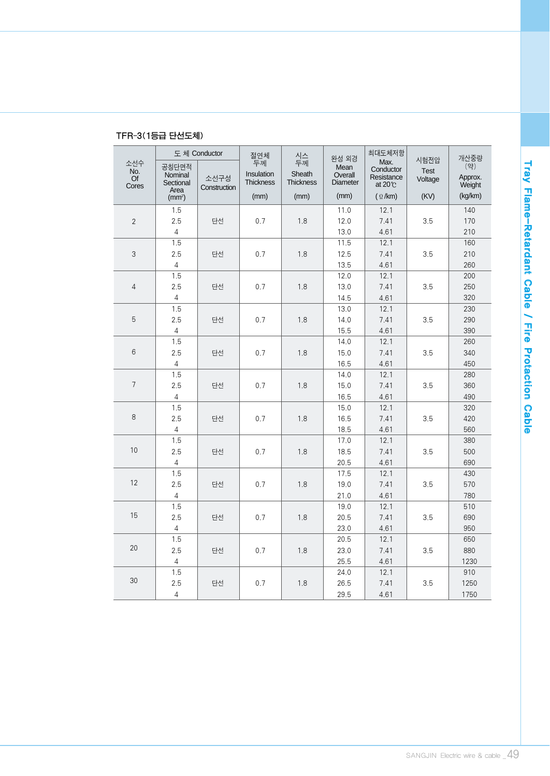|                                        |                                       | 도체 Conductor         | 절연체                           | 시스<br>두께            | 완성 외경                       | 최대도체저항                                             |                                | 개산중량                     |
|----------------------------------------|---------------------------------------|----------------------|-------------------------------|---------------------|-----------------------------|----------------------------------------------------|--------------------------------|--------------------------|
| 소선수<br>No.<br>$\overline{Of}$<br>Cores | 공칭단면적<br>Nominal<br>Sectional<br>Area | 소선구성<br>Construction | 두께<br>Insulation<br>Thickness | Sheath<br>Thickness | Mean<br>Overall<br>Diameter | Max.<br>Conductor<br>Resistance<br>at $20^{\circ}$ | 시험전압<br><b>Test</b><br>Voltage | (약)<br>Approx.<br>Weight |
|                                        | (mm <sup>2</sup> )                    |                      | (mm)                          | (mm)                | (mm)                        | $(\Omega / km)$                                    | (KV)                           | (kq/km)                  |
|                                        | 1.5                                   |                      |                               |                     | 11.0                        | 12.1                                               |                                | 140                      |
| $\overline{2}$                         | 2.5                                   | 단선                   | 0.7                           | 1.8                 | 12.0                        | 7.41                                               | 3.5                            | 170                      |
|                                        | $\sqrt{4}$                            |                      |                               |                     | 13.0                        | 4.61                                               |                                | 210                      |
|                                        | 1.5                                   |                      |                               |                     | 11.5                        | 12.1                                               |                                | 160                      |
| 3                                      | 2.5                                   | 단선                   | 0.7                           | 1.8                 | 12.5                        | 7.41                                               | 3.5                            | 210                      |
|                                        | $\overline{4}$                        |                      |                               |                     | 13.5                        | 4.61                                               |                                | 260                      |
|                                        | 1.5                                   |                      |                               |                     | 12.0                        | 12.1                                               |                                | 200                      |
| 4                                      | 2.5                                   | 단선                   | 0.7                           | 1.8                 | 13.0                        | 7.41                                               | 3.5                            | 250                      |
|                                        | $\overline{4}$                        |                      |                               |                     | 14.5                        | 4.61                                               |                                | 320                      |
|                                        | 1.5                                   |                      |                               |                     | 13.0                        | 12.1                                               |                                | 230                      |
| 5                                      | 2.5                                   | 단선                   | 0.7                           | 1.8                 | 14.0                        | 7.41                                               | 3.5                            | 290                      |
|                                        | $\sqrt{4}$                            |                      |                               |                     | 15.5                        | 4.61                                               |                                | 390                      |
|                                        | 1.5                                   |                      |                               |                     | 14.0                        | 12.1                                               |                                | 260                      |
| 6                                      | 2.5                                   | 단선                   | 0.7                           | 1.8                 | 15.0                        | 7.41                                               | 3.5                            | 340                      |
|                                        | $\overline{4}$                        |                      |                               |                     | 16.5                        | 4.61                                               |                                | 450                      |
| $\overline{7}$                         | 1.5                                   |                      |                               |                     | 14.0                        | 12.1                                               |                                | 280                      |
|                                        | 2.5                                   | 단선                   | 0.7                           | 1.8                 | 15.0                        | 7.41                                               | 3.5                            | 360                      |
|                                        | $\overline{4}$                        |                      |                               |                     | 16.5                        | 4.61                                               |                                | 490                      |
| 8                                      | 1.5<br>2.5                            |                      |                               | 1.8                 | 15.0<br>16.5                | 12.1<br>7.41                                       |                                | 320<br>420               |
|                                        | $\overline{4}$                        | 단선                   | 0.7                           |                     | 18.5                        |                                                    | 3.5                            |                          |
|                                        | 1.5                                   |                      |                               |                     | 17.0                        | 4.61<br>12.1                                       |                                | 560<br>380               |
| 10                                     | 2.5                                   | 단선                   | 0.7                           | 1.8                 | 18.5                        | 7.41                                               | 3.5                            | 500                      |
|                                        | 4                                     |                      |                               |                     | 20.5                        | 4.61                                               |                                | 690                      |
|                                        | 1.5                                   |                      |                               |                     | 17.5                        | 12.1                                               |                                | 430                      |
| 12                                     | 2.5                                   | 단선                   | 0.7                           | 1.8                 | 19.0                        | 7.41                                               | 3.5                            | 570                      |
|                                        | $\sqrt{4}$                            |                      |                               |                     | 21.0                        | 4.61                                               |                                | 780                      |
|                                        | 1.5                                   |                      |                               |                     | 19.0                        | 12.1                                               |                                | 510                      |
| 15                                     | 2.5                                   | 단선                   | 0.7                           | 1.8                 | 20.5                        | 7.41                                               | 3.5                            | 690                      |
|                                        | $\sqrt{4}$                            |                      |                               |                     | 23.0                        | 4.61                                               |                                | 950                      |
|                                        | 1.5                                   |                      |                               |                     | 20.5                        | 12.1                                               |                                | 650                      |
| 20                                     | 2.5                                   | 단선                   | 0.7                           | 1.8                 | 23.0                        | 7.41                                               | 3.5                            | 880                      |
|                                        | $\overline{4}$                        |                      |                               |                     | 25.5                        | 4.61                                               |                                | 1230                     |
|                                        | 1.5                                   |                      |                               |                     | 24.0                        | 12.1                                               |                                | 910                      |
| 30                                     | 2.5<br>단선                             |                      | 0.7                           | 1.8                 | 26.5                        | 7.41                                               | 3.5                            | 1250                     |
|                                        | $\overline{4}$                        |                      |                               |                     | 29.5                        | 4.61                                               |                                | 1750                     |

# TFR-3(1등급 단선도체)